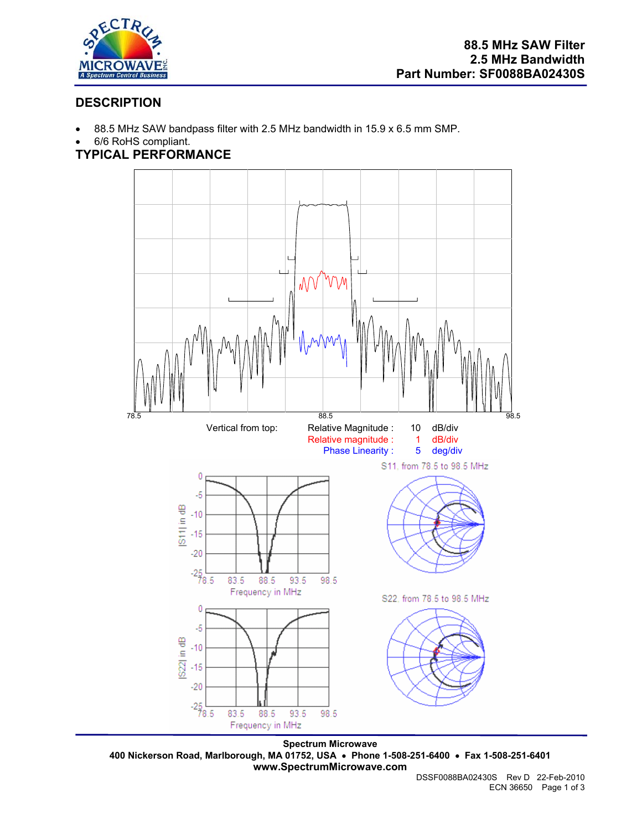

# **DESCRIPTION**

- 88.5 MHz SAW bandpass filter with 2.5 MHz bandwidth in 15.9 x 6.5 mm SMP.
- 6/6 RoHS compliant.

# **TYPICAL PERFORMANCE**



**Spectrum Microwave 400 Nickerson Road, Marlborough, MA 01752, USA** • **Phone 1-508-251-6400** • **Fax 1-508-251-6401 www.SpectrumMicrowave.com**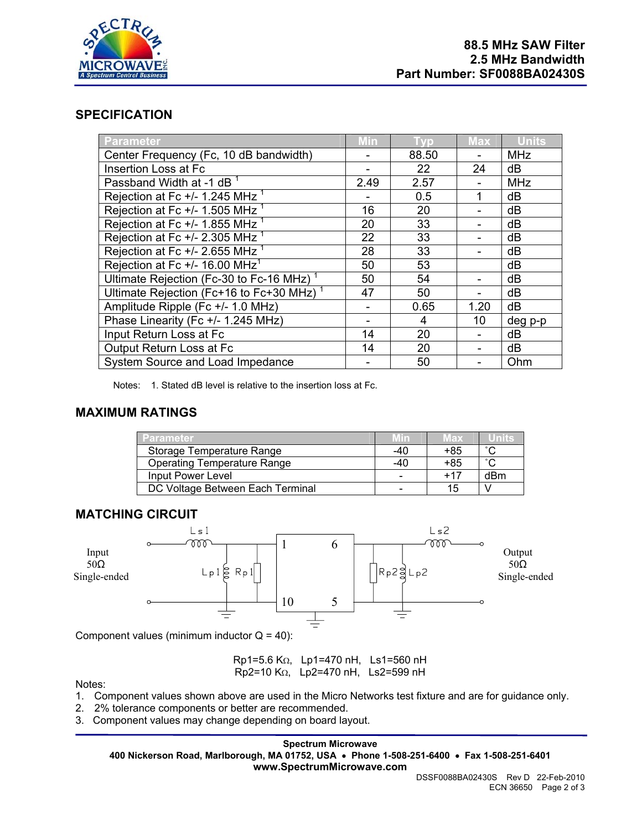

#### **SPECIFICATION**

| Parameter                                            | Min  | Tvp   | <b>Max</b> | <b>Units</b> |
|------------------------------------------------------|------|-------|------------|--------------|
| Center Frequency (Fc, 10 dB bandwidth)               |      | 88.50 |            | <b>MHz</b>   |
| Insertion Loss at Fc                                 |      | 22    | 24         | dB           |
| Passband Width at -1 dB <sup>1</sup>                 | 2.49 | 2.57  |            | <b>MHz</b>   |
| Rejection at Fc $+/- 1.245$ MHz $1$                  |      | 0.5   | 1          | dB           |
| Rejection at Fc +/- 1.505 MHz <sup>1</sup>           | 16   | 20    |            | dB           |
| Rejection at Fc $+/- 1.855$ MHz $1$                  | 20   | 33    |            | dB           |
| Rejection at Fc $+/- 2.305$ MHz $1$                  | 22   | 33    |            | dB           |
| Rejection at Fc $+/- 2.655$ MHz $1$                  | 28   | 33    |            | dB           |
| Rejection at Fc $+/- 16.00$ MHz <sup>1</sup>         | 50   | 53    |            | dB           |
| Ultimate Rejection (Fc-30 to Fc-16 MHz) <sup>1</sup> | 50   | 54    |            | dB           |
| Ultimate Rejection (Fc+16 to Fc+30 MHz) <sup>1</sup> | 47   | 50    |            | dB           |
| Amplitude Ripple (Fc +/- 1.0 MHz)                    |      | 0.65  | 1.20       | dB           |
| Phase Linearity (Fc +/- 1.245 MHz)                   |      | 4     | 10         | deg p-p      |
| Input Return Loss at Fc                              | 14   | 20    |            | dB           |
| Output Return Loss at Fc                             | 14   | 20    |            | dB           |
| System Source and Load Impedance                     |      | 50    |            | Ohm          |

Notes: 1. Stated dB level is relative to the insertion loss at Fc.

#### **MAXIMUM RATINGS**

| <b>Parameter</b>                   | Min | Max   | unna                |
|------------------------------------|-----|-------|---------------------|
| Storage Temperature Range          | -40 | +85   | $\hat{\phantom{a}}$ |
| <b>Operating Temperature Range</b> | -40 | +85   | $\hat{ }$           |
| Input Power Level                  | -   | $+17$ | dBm                 |
| DC Voltage Between Each Terminal   |     | 15    |                     |



Component values (minimum inductor  $Q = 40$ ):

Rp1=5.6 KΩ, Lp1=470 nH, Ls1=560 nH Rp2=10 KΩ, Lp2=470 nH, Ls2=599 nH

Notes:

- 1. Component values shown above are used in the Micro Networks test fixture and are for guidance only.
- 2. 2% tolerance components or better are recommended.
- 3. Component values may change depending on board layout.

**Spectrum Microwave** 

**400 Nickerson Road, Marlborough, MA 01752, USA** • **Phone 1-508-251-6400** • **Fax 1-508-251-6401 www.SpectrumMicrowave.com**